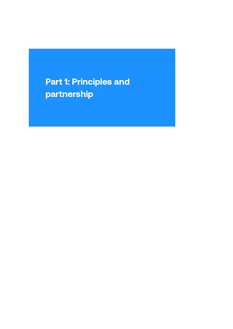## Part 1: Principles and partnership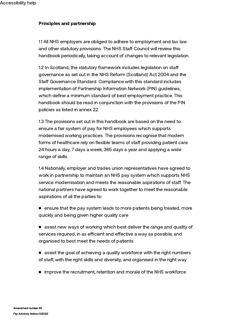## Principles and partnership

1.1 All NHS employers are obliged to adhere to employment and tax law and other statutory provisions. The NHS Staff Council will review this handbook periodically, taking account of changes to relevant legislation.

1.2 In Scotland, the statutory framework includes legislation on staff governance as set out in the NHS Reform (Scotland) Act 2004 and the Staff Governance Standard. Compliance with this standard includes implementation of Partnership Information Network (PIN) guidelines, which define a minimum standard of best employment practice. This handbook should be read in conjunction with the provisions of the PIN policies as listed in annex 22.

1.3 The provisions set out in this handbook are based on the need to ensure a fair system of pay for NHS employees which supports modernised working practices. The provisions recognise that modern forms of healthcare rely on flexible teams of staff providing patient care 24 hours a day, 7 days a week, 365 days a year and applying a wide range of skills.

1.4 Nationally, employer and trades union representatives have agreed to work in partnership to maintain an NHS pay system which supports NHS service modernisation and meets the reasonable aspirations of staff. The national partners have agreed to work together to meet the reasonable aspirations of all the parties to:

- ensure that the pay system leads to more patients being treated, more quickly and being given higher quality care
- assist new ways of working which best deliver the range and quality of services required, in as efficient and effective a way as possible, and organised to best meet the needs of patients
- assist the goal of achieving a quality workforce with the right numbers of staff, with the right skills and diversity, and organised in the right way
- improve the recruitment, retention and morale of the NHS workforce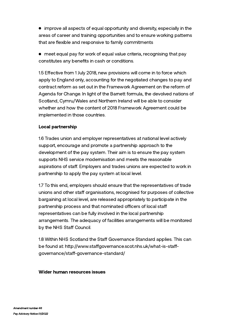• improve all aspects of equal opportunity and diversity, especially in the areas of career and training opportunities and to ensure working patterns that are flexible and responsive to family commitments

meet equal pay for work of equal value criteria, recognising that pay constitutes any benefits in cash or conditions.

1.5 Effective from 1 July 2018, new provisions will come in to force which apply to England only, accounting for the negotiated changes to pay and contract reform as set out in the Framework [Agreement](http://www.nhsemployers.org/-/media/Employers/Documents/Pay-and-reward/2018-contract-refresh/Framework_agreement_27_June_2018.pdf?la=en&hash=84470722F9C63F6B33B5E3D90DF36C0A81F63765&hash=84470722F9C63F6B33B5E3D90DF36C0A81F63765) on the reform of Agenda for Change. In light of the Barnett formula, the devolved nations of Scotland, Cymru/Wales and Northern Ireland will be able to consider whether and how the content of 2018 Framework Agreement could be implemented in those countries.

## Local partnership

1.6 Trades union and employer representatives at national level actively support, encourage and promote a partnership approach to the development of the pay system. Their aim is to ensure the pay system supports NHS service modernisation and meets the reasonable aspirations of staff. Employers and trades unions are expected to work in partnership to apply the pay system at local level.

1.7 To this end, employers should ensure that the representatives of trade unions and other staff organisations, recognised for purposes of collective bargaining at local level, are released appropriately to participate in the partnership process and that nominated officers of local staff representatives can be fully involved in the local partnership arrangements. The adequacy of facilities arrangements will be monitored by the NHS Staff Council.

1.8 Within NHS Scotland the Staff Governance Standard applies. This can be found at: http://www.staffgovernance.scot.nhs.uk/what-is-staffgovernance/staff-governance-standard/

## Wider human resources issues